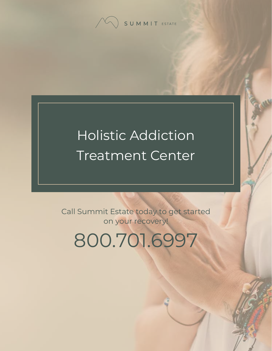SUMMIT ESTATE

# Holistic Addiction Treatment Center

Call Summit Estate today to get started on your recovery!

800.701.6997

 $\mathbb{R}$  summit Estate Recovery Center 1 [Holistic Addiction Treatment Center](https://www.summitestate.com/northern-california-addiction-treatment-center-programs/holistic-addiction-treatment-center-ca/) 1 Holistic Addiction Treatment Center 1 Holistic Addiction Treatment Center 1 Holistic Addiction Treatment Center 1 Holistic Addiction Treatment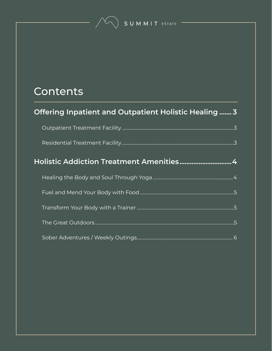### Contents

| Offering Inpatient and Outpatient Holistic Healing  3 |  |
|-------------------------------------------------------|--|
|                                                       |  |
|                                                       |  |
|                                                       |  |
|                                                       |  |
|                                                       |  |
|                                                       |  |
|                                                       |  |
|                                                       |  |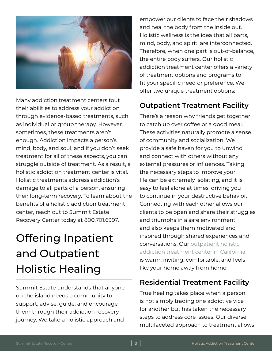<span id="page-2-0"></span>

Many addiction treatment centers tout their abilities to address your addiction through evidence-based treatments, such as individual or group therapy. However, sometimes, these treatments aren't enough. Addiction impacts a person's mind, body, and soul, and if you don't seek treatment for all of these aspects, you can struggle outside of treatment. As a result, a holistic addiction treatment center is vital. Holistic treatments address addiction's damage to all parts of a person, ensuring their long-term recovery. To learn about the benefits of a holistic addiction treatment center, reach out to Summit Estate Recovery Center today at 800.701.6997.

## Offering Inpatient and Outpatient Holistic Healing

Summit Estate understands that anyone on the island needs a community to support, advise, guide, and encourage them through their addiction recovery journey. We take a holistic approach and

empower our clients to face their shadows and heal the body from the inside out. Holistic wellness is the idea that all parts, mind, body, and spirit, are interconnected. Therefore, when one part is out-of-balance, the entire body suffers. Our holistic addiction treatment center offers a variety of treatment options and programs to fit your specific need or preference. We offer two unique treatment options:

#### **Outpatient Treatment Facility**

There's a reason why friends get together to catch up over coffee or a good meal. These activities naturally promote a sense of community and socialization. We provide a safe haven for you to unwind and connect with others without any external pressures or influences. Taking the necessary steps to improve your life can be extremely isolating, and it is easy to feel alone at times, driving you to continue in your destructive behavior. Connecting with each other allows our clients to be open and share their struggles and triumphs in a safe environment, and also keeps them motivated and inspired through shared experiences and conversations. Our [outpatient holistic](https://www.summitestate.com/northern-california-drug-and-alcohol-rehab-programs/iop-intensive-outpatient-program-ca/)  [addiction treatment center in California](https://www.summitestate.com/northern-california-drug-and-alcohol-rehab-programs/iop-intensive-outpatient-program-ca/) is warm, inviting, comfortable, and feels like your home away from home.

#### **Residential Treatment Facility**

True healing takes place when a person is not simply trading one addictive vice for another but has taken the necessary steps to address core issues. Our diverse, multifaceted approach to treatment allows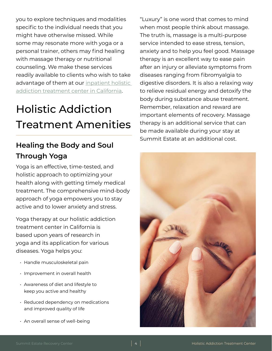<span id="page-3-0"></span>you to explore techniques and modalities specific to the individual needs that you might have otherwise missed. While some may resonate more with yoga or a personal trainer, others may find healing with massage therapy or nutritional counseling. We make these services readily available to clients who wish to take advantage of them at our [inpatient holistic](https://www.summitestate.com/northern-california-drug-and-alcohol-rehab-programs/residential-treatment-program-ca/)  [addiction treatment center in California](https://www.summitestate.com/northern-california-drug-and-alcohol-rehab-programs/residential-treatment-program-ca/).

## Holistic Addiction Treatment Amenities

#### **Healing the Body and Soul Through Yoga**

Yoga is an effective, time-tested, and holistic approach to optimizing your health along with getting timely medical treatment. The comprehensive mind-body approach of yoga empowers you to stay active and to lower anxiety and stress.

Yoga therapy at our holistic addiction treatment center in California is based upon years of research in yoga and its application for various diseases. Yoga helps you:

- Handle musculoskeletal pain
- Improvement in overall health
- Awareness of diet and lifestyle to keep you active and healthy
- Reduced dependency on medications and improved quality of life
- An overall sense of well-being

"Luxury" is one word that comes to mind when most people think about massage. The truth is, massage is a multi-purpose service intended to ease stress, tension, anxiety and to help you feel good. Massage therapy is an excellent way to ease pain after an injury or alleviate symptoms from diseases ranging from fibromyalgia to digestive disorders. It is also a relaxing way to relieve residual energy and detoxify the body during substance abuse treatment. Remember, relaxation and reward are important elements of recovery. Massage therapy is an additional service that can be made available during your stay at Summit Estate at an additional cost.

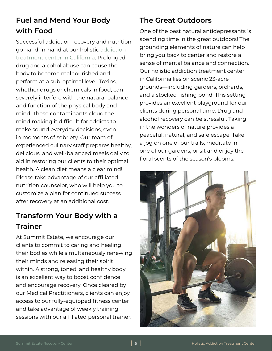#### <span id="page-4-0"></span>**Fuel and Mend Your Body with Food**

Successful addiction recovery and nutrition go hand-in-hand at our holistic [addiction](https://www.summitestate.com/northern-california-addiction-treatment-center-programs/)  [treatment center in California.](https://www.summitestate.com/northern-california-addiction-treatment-center-programs/) Prolonged drug and alcohol abuse can cause the body to become malnourished and perform at a sub-optimal level. Toxins, whether drugs or chemicals in food, can severely interfere with the natural balance and function of the physical body and mind. These contaminants cloud the mind making it difficult for addicts to make sound everyday decisions, even in moments of sobriety. Our team of experienced culinary staff prepares healthy, delicious, and well-balanced meals daily to aid in restoring our clients to their optimal health. A clean diet means a clear mind! Please take advantage of our affiliated nutrition counselor, who will help you to customize a plan for continued success after recovery at an additional cost.

#### **Transform Your Body with a Trainer**

At Summit Estate, we encourage our clients to commit to caring and healing their bodies while simultaneously renewing their minds and releasing their spirit within. A strong, toned, and healthy body is an excellent way to boost confidence and encourage recovery. Once cleared by our Medical Practitioners, clients can enjoy access to our fully-equipped fitness center and take advantage of weekly training sessions with our affiliated personal trainer.

#### **The Great Outdoors**

One of the best natural antidepressants is spending time in the great outdoors! The grounding elements of nature can help bring you back to center and restore a sense of mental balance and connection. Our holistic addiction treatment center in California lies on scenic 23-acre grounds—including gardens, orchards, and a stocked fishing pond. This setting provides an excellent playground for our clients during personal time. Drug and alcohol recovery can be stressful. Taking in the wonders of nature provides a peaceful, natural, and safe escape. Take a jog on one of our trails, meditate in one of our gardens, or sit and enjoy the floral scents of the season's blooms.